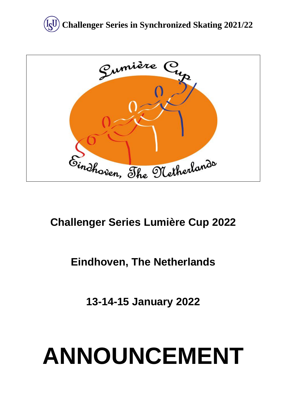



# **Challenger Series Lumière Cup 2022**

# **Eindhoven, The Netherlands**

**13-14-15 January 2022**

# **ANNOUNCEMENT**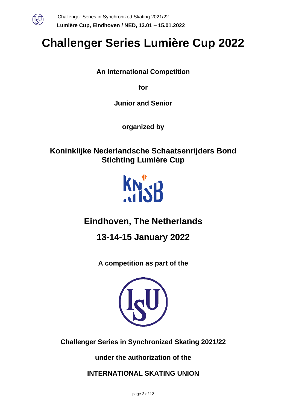

# **Challenger Series Lumière Cup 2022**

**An International Competition** 

**for** 

**Junior and Senior**

**organized by**

**Koninklijke Nederlandsche Schaatsenrijders Bond Stichting Lumière Cup**



# **Eindhoven, The Netherlands**

**13-14-15 January 2022**

**A competition as part of the**



**Challenger Series in Synchronized Skating 2021/22**

**under the authorization of the** 

**INTERNATIONAL SKATING UNION**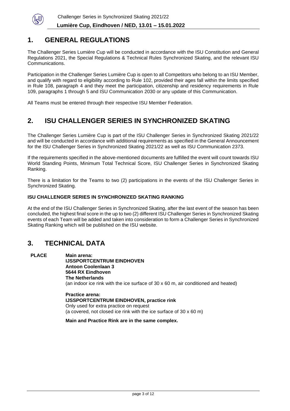

## **1. GENERAL REGULATIONS**

The Challenger Series Lumière Cup will be conducted in accordance with the ISU Constitution and General Regulations 2021, the Special Regulations & Technical Rules Synchronized Skating, and the relevant ISU Communications.

Participation in the Challenger Series Lumière Cup is open to all Competitors who belong to an ISU Member, and qualify with regard to eligibility according to Rule 102, provided their ages fall within the limits specified in Rule 108, paragraph 4 and they meet the participation, citizenship and residency requirements in Rule 109, paragraphs 1 through 5 and ISU Communication 2030 or any update of this Communication.

All Teams must be entered through their respective ISU Member Federation.

# **2. ISU CHALLENGER SERIES IN SYNCHRONIZED SKATING**

The Challenger Series Lumière Cup is part of the ISU Challenger Series in Synchronized Skating 2021/22 and will be conducted in accordance with additional requirements as specified in the General Announcement for the ISU Challenger Series in Synchronized Skating 2021/22 as well as ISU Communication 2373.

If the requirements specified in the above-mentioned documents are fulfilled the event will count towards ISU World Standing Points, Minimum Total Technical Score, ISU Challenger Series in Synchronized Skating Ranking.

There is a limitation for the Teams to two (2) participations in the events of the ISU Challenger Series in Synchronized Skating.

#### **ISU CHALLENGER SERIES IN SYNCHRONIZED SKATING RANKING**

At the end of the ISU Challenger Series in Synchronized Skating, after the last event of the season has been concluded, the highest final score in the up to two (2) different ISU Challenger Series in Synchronized Skating events of each Team will be added and taken into consideration to form a Challenger Series in Synchronized Skating Ranking which will be published on the ISU website.

## **3. TECHNICAL DATA**

**PLACE Main arena: IJSSPORTCENTRUM EINDHOVEN Antoon Coolenlaan 3 5644 RX Eindhoven The Netherlands** (an indoor ice rink with the ice surface of 30 x 60 m, air conditioned and heated)

> **Practice arena: IJSSPORTCENTRUM EINDHOVEN, practice rink** Only used for extra practice on request (a covered, not closed ice rink with the ice surface of 30 x 60 m)

**Main and Practice Rink are in the same complex.**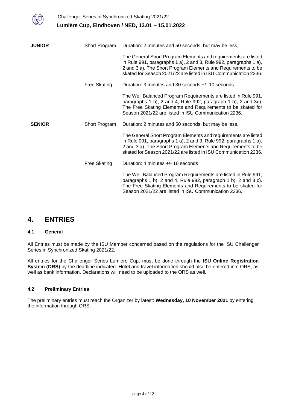

| <b>JUNIOR</b> | Short Program       | Duration: 2 minutes and 50 seconds, but may be less,                                                                                                                                                                                                                    |  |
|---------------|---------------------|-------------------------------------------------------------------------------------------------------------------------------------------------------------------------------------------------------------------------------------------------------------------------|--|
|               |                     | The General Short Program Elements and requirements are listed<br>in Rule 991, paragraphs 1 a), 2 and 3, Rule 992, paragraphs 1 a),<br>2 and 3 a). The Short Program Elements and Requirements to be<br>skated for Season 2021/22 are listed in ISU Communication 2236. |  |
|               | <b>Free Skating</b> | Duration: 3 minutes and 30 seconds +/- 10 seconds                                                                                                                                                                                                                       |  |
|               |                     | The Well Balanced Program Requirements are listed in Rule 991,<br>paragraphs 1 b), 2 and 4, Rule 992, paragraph 1 b), 2 and 3c).<br>The Free Skating Elements and Requirements to be skated for<br>Season 2021/22 are listed in ISU Communication 2236.                 |  |
| <b>SENIOR</b> | Short Program       | Duration: 2 minutes and 50 seconds, but may be less,                                                                                                                                                                                                                    |  |
|               |                     | The General Short Program Elements and requirements are listed<br>in Rule 991, paragraphs 1 a), 2 and 3, Rule 992, paragraphs 1 a),<br>2 and 3 a). The Short Program Elements and Requirements to be<br>skated for Season 2021/22 are listed in ISU Communication 2236. |  |
|               | <b>Free Skating</b> | Duration: 4 minutes $+/- 10$ seconds                                                                                                                                                                                                                                    |  |
|               |                     | The Well Balanced Program Requirements are listed in Rule 991,<br>paragraphs 1 b), 2 and 4, Rule 992, paragraph 1 b), 2 and 3 c).<br>The Free Skating Elements and Requirements to be skated for<br>Season 2021/22 are listed in ISU Communication 2236.                |  |

## **4. ENTRIES**

#### **4.1 General**

All Entries must be made by the ISU Member concerned based on the regulations for the ISU Challenger Series in Synchronized Skating 2021/22.

All entries for the Challenger Series Lumière Cup, must be done through the **ISU Online Registration System (ORS)** by the deadline indicated. Hotel and travel information should also be entered into ORS, as well as bank information. Declarations will need to be uploaded to the ORS as well.

#### **4.2 Preliminary Entries**

The preliminary entries must reach the Organizer by latest: **Wednesday, 10 November 2021** by entering the information through ORS.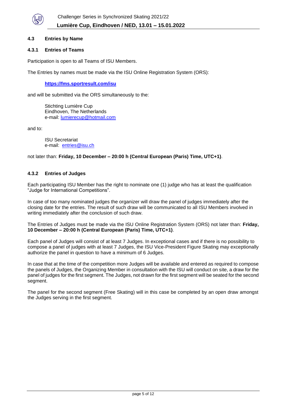

#### **4.3 Entries by Name**

#### **4.3.1 Entries of Teams**

Participation is open to all Teams of ISU Members.

The Entries by names must be made via the ISU Online Registration System (ORS):

**<https://fms.sportresult.com/isu>**

and will be submitted via the ORS simultaneously to the:

Stichting Lumière Cup Eindhoven, The Netherlands e-mail: [lumierecup@hotmail.com](mailto:lumierecup@hotmail.com)

and to:

ISU Secretariat e-mail: [entries@isu.ch](mailto:entries@isu.ch)

not later than: **Friday, 10 December – 20:00 h (Central European (Paris) Time, UTC+1)**.

#### **4.3.2 Entries of Judges**

Each participating ISU Member has the right to nominate one (1) judge who has at least the qualification "Judge for International Competitions".

In case of too many nominated judges the organizer will draw the panel of judges immediately after the closing date for the entries. The result of such draw will be communicated to all ISU Members involved in writing immediately after the conclusion of such draw.

The Entries of Judges must be made via the ISU Online Registration System (ORS) not later than: **Friday, 10 December – 20:00 h (Central European (Paris) Time, UTC+1)**.

Each panel of Judges will consist of at least 7 Judges. In exceptional cases and if there is no possibility to compose a panel of judges with at least 7 Judges, the ISU Vice-President Figure Skating may exceptionally authorize the panel in question to have a minimum of 6 Judges.

In case that at the time of the competition more Judges will be available and entered as required to compose the panels of Judges, the Organizing Member in consultation with the ISU will conduct on site, a draw for the panel of judges for the first segment. The Judges, not drawn for the first segment will be seated for the second segment.

The panel for the second segment (Free Skating) will in this case be completed by an open draw amongst the Judges serving in the first segment.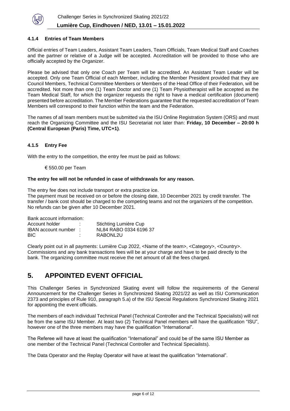

#### **4.1.4 Entries of Team Members**

Official entries of Team Leaders, Assistant Team Leaders, Team Officials, Team Medical Staff and Coaches and the partner or relative of a Judge will be accepted. Accreditation will be provided to those who are officially accepted by the Organizer.

Please be advised that only one Coach per Team will be accredited. An Assistant Team Leader will be accepted. Only one Team Official of each Member, including the Member President provided that they are Council Members, Technical Committee Members or Members of the Head Office of their Federation, will be accredited. Not more than one (1) Team Doctor and one (1) Team Physiotherapist will be accepted as the Team Medical Staff, for which the organizer requests the right to have a medical certification (document) presented before accreditation. The Member Federations guarantee that the requested accreditation of Team Members will correspond to their function within the team and the Federation.

The names of all team members must be submitted via the ISU Online Registration System (ORS) and must reach the Organizing Committee and the ISU Secretariat not later than: **Friday, 10 December – 20:00 h (Central European (Paris) Time, UTC+1)**.

#### **4.1.5 Entry Fee**

With the entry to the competition, the entry fee must be paid as follows:

€ 550.00 per Team

#### **The entry fee will not be refunded in case of withdrawals for any reason.**

The entry fee does not include transport or extra practice ice.

The payment must be received on or before the closing date, 10 December 2021 by credit transfer. The transfer / bank cost should be charged to the competing teams and not the organizers of the competition. No refunds can be given after 10 December 2021.

Bank account information:

| Account holder        | ٠ | Stichting Lumière Cup  |  |
|-----------------------|---|------------------------|--|
| IBAN account number : |   | NL84 RABO 0334 6196 37 |  |
| BIC.                  | ٠ | RABONL2U               |  |

Clearly point out in all payments: Lumière Cup 2022, <Name of the team>, <Category>, <Country>. Commissions and any bank transactions fees will be at your charge and have to be paid directly to the bank. The organizing committee must receive the net amount of all the fees charged.

# **5. APPOINTED EVENT OFFICIAL**

This Challenger Series in Synchronized Skating event will follow the requirements of the General Announcement for the Challenger Series in Synchronized Skating 2021/22 as well as ISU Communication 2373 and principles of Rule 910, paragraph 5.a) of the ISU Special Regulations Synchronized Skating 2021 for appointing the event officials.

The members of each individual Technical Panel (Technical Controller and the Technical Specialists) will not be from the same ISU Member. At least two (2) Technical Panel members will have the qualification "ISU", however one of the three members may have the qualification "International".

The Referee will have at least the qualification "International" and could be of the same ISU Member as one member of the Technical Panel (Technical Controller and Technical Specialists).

The Data Operator and the Replay Operator will have at least the qualification "International".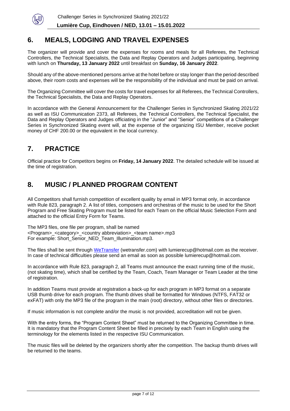

# **6. MEALS, LODGING AND TRAVEL EXPENSES**

The organizer will provide and cover the expenses for rooms and meals for all Referees, the Technical Controllers, the Technical Specialists, the Data and Replay Operators and Judges participating, beginning with lunch on **Thursday, 13 January 2022** until breakfast on **Sunday, 16 January 2022**.

Should any of the above-mentioned persons arrive at the hotel before or stay longer than the period described above, their room costs and expenses will be the responsibility of the individual and must be paid on arrival.

The Organizing Committee will cover the costs for travel expenses for all Referees, the Technical Controllers, the Technical Specialists, the Data and Replay Operators.

In accordance with the General Announcement for the Challenger Series in Synchronized Skating 2021/22 as well as ISU Communication 2373, all Referees, the Technical Controllers, the Technical Specialist, the Data and Replay Operators and Judges officiating in the "Junior" and "Senior" competitions of a Challenger Series in Synchronized Skating event will, at the expense of the organizing ISU Member, receive pocket money of CHF 200.00 or the equivalent in the local currency.

# **7. PRACTICE**

Official practice for Competitors begins on **Friday, 14 January 2022**. The detailed schedule will be issued at the time of registration.

# **8. MUSIC / PLANNED PROGRAM CONTENT**

All Competitors shall furnish competition of excellent quality by email in MP3 format only, in accordance with Rule 823, paragraph 2. A list of titles, composers and orchestras of the music to be used for the Short Program and Free Skating Program must be listed for each Team on the official Music Selection Form and attached to the official Entry Form for Teams.

The MP3 files, one file per program, shall be named <Program>\_<category>\_<country abbreviation>\_<team name>.mp3 For example: Short\_Senior\_NED\_Team\_Illumination.mp3.

The files shall be sent through [WeTransfer](https://wetransfer.com/) (wetransfer.com) with lumierecup@hotmail.com as the receiver. In case of technical difficulties please send an email as soon as possible lumierecup@hotmail.com.

In accordance with Rule 823, paragraph 2, all Teams must announce the exact running time of the music, (not skating time), which shall be certified by the Team, Coach, Team Manager or Team Leader at the time of registration.

In addition Teams must provide at registration a back-up for each program in MP3 format on a separate USB thumb drive for each program. The thumb drives shall be formatted for Windows (NTFS, FAT32 or exFAT) with only the MP3 file of the program in the main (root) directory, without other files or directories.

If music information is not complete and/or the music is not provided, accreditation will not be given.

With the entry forms, the "Program Content Sheet" must be returned to the Organizing Committee in time. It is mandatory that the Program Content Sheet be filled in precisely by each Team in English using the terminology for the elements listed in the respective ISU Communication.

The music files will be deleted by the organizers shortly after the competition. The backup thumb drives will be returned to the teams.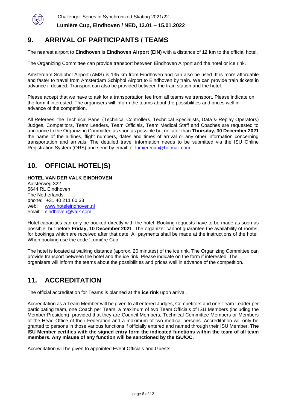

# **9. ARRIVAL OF PARTICIPANTS / TEAMS**

The nearest airport to **Eindhoven** is **Eindhoven Airport (EIN)** with a distance of **12 km** to the official hotel.

The Organizing Committee can provide transport between Eindhoven Airport and the hotel or ice rink.

Amsterdam Schiphol Airport (AMS) is 135 km from Eindhoven and can also be used. It is more affordable and faster to travel from Amsterdam Schiphol Airport to Eindhoven by train. We can provide train tickets in advance if desired. Transport can also be provided between the train station and the hotel.

Please accept that we have to ask for a transportation fee from all teams we transport. Please indicate on the form if interested. The organisers will inform the teams about the possibilities and prices well in advance of the competition.

All Referees, the Technical Panel (Technical Controllers, Technical Specialists, Data & Replay Operators) Judges, Competitors, Team Leaders, Team Officials, Team Medical Staff and Coaches are requested to announce to the Organizing Committee as soon as possible but no later than **Thursday, 30 December 2021** the name of the airlines, flight numbers, dates and times of arrival or any other information concerning transportation and arrivals. The detailed travel information needs to be submitted via the ISU Online Registration System (ORS) and send by email to: [lumierecup@hotmail.com.](mailto:lumierecup@hotmail.com)

# **10. OFFICIAL HOTEL(S)**

#### **HOTEL VAN DER VALK EINDHOVEN** Aalsterweg 322 5644 RL Eindhoven

The Netherlands phone: +31 40 211 60 33 web: [www.hoteleindhoven.nl](http://www.hoteleindhoven.nl/) email: [eindhoven@valk.com](mailto:eindhoven@valk.com)

Hotel capacities can only be booked directly with the hotel. Booking requests have to be made as soon as possible, but before **Friday, 10 December 2021**. The organizer cannot guarantee the availability of rooms, for bookings which are received after that date. All payments shall be made at the instructions of the hotel. When booking use the code 'Lumière Cup'.

The hotel is located at walking distance (approx. 20 minutes) of the ice rink. The Organizing Committee can provide transport between the hotel and the ice rink. Please indicate on the form if interested. The organisers will inform the teams about the possibilities and prices well in advance of the competition.

# **11. ACCREDITATION**

The official accreditation for Teams is planned at the **ice rink** upon arrival.

Accreditation as a Team Member will be given to all entered Judges, Competitors and one Team Leader per participating team, one Coach per Team, a maximum of two Team Officials of ISU Members (including the Member President), provided that they are Council Members, Technical Committee Members or Members of the Head Office of their Federation and a maximum of two medical persons. Accreditation will only be granted to persons in those various functions if officially entered and named through their ISU Member. **The ISU Member certifies with the signed entry form the indicated functions within the team of all team members. Any misuse of any function will be sanctioned by the ISU/OC.**

Accreditation will be given to appointed Event Officials and Guests.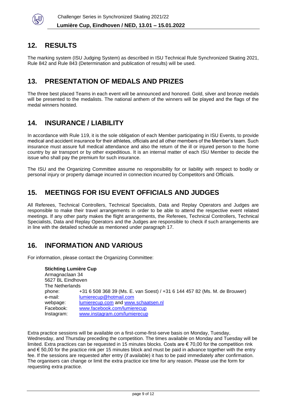

# **12. RESULTS**

The marking system (ISU Judging System) as described in ISU Technical Rule Synchronized Skating 2021, Rule 842 and Rule 843 (Determination and publication of results) will be used.

# **13. PRESENTATION OF MEDALS AND PRIZES**

The three best placed Teams in each event will be announced and honored. Gold, silver and bronze medals will be presented to the medalists. The national anthem of the winners will be played and the flags of the medal winners hoisted.

# **14. INSURANCE / LIABILITY**

In accordance with Rule 119, it is the sole obligation of each Member participating in ISU Events, to provide medical and accident insurance for their athletes, officials and all other members of the Member's team. Such insurance must assure full medical attendance and also the return of the ill or injured person to the home country by air transport or by other expeditious. It is an internal matter of each ISU Member to decide the issue who shall pay the premium for such insurance.

The ISU and the Organizing Committee assume no responsibility for or liability with respect to bodily or personal injury or property damage incurred in connection incurred by Competitors and Officials.

# **15. MEETINGS FOR ISU EVENT OFFICIALS AND JUDGES**

All Referees, Technical Controllers, Technical Specialists, Data and Replay Operators and Judges are responsible to make their travel arrangements in order to be able to attend the respective event related meetings. If any other party makes the flight arrangements, the Referees, Technical Controllers, Technical Specialists, Data and Replay Operators and the Judges are responsible to check if such arrangements are in line with the detailed schedule as mentioned under paragraph 17.

# **16. INFORMATION AND VARIOUS**

For information, please contact the Organizing Committee:

**Stichting Lumière Cup** Armagnaclaan 34 5627 BL Eindhoven The Netherlands phone: +31 6 508 368 39 (Ms. E. van Soest) / +31 6 144 457 82 (Ms. M. de Brouwer) e-mail: [lumierecup@hotmail.com](mailto:lumierecup@hotmail.com) webpage: [lumierecup.com](http://lumierecup.com/) and [www.schaatsen.nl](http://www.schaatsen.nl/) Facebook: [www.facebook.com/lumierecup](http://www.facebook.com/lumierecup) Instagram: [www.instagram.com/lumierecup](http://www.instagram.com/lumierecup)

Extra practice sessions will be available on a first-come-first-serve basis on Monday, Tuesday, Wednesday, and Thursday preceding the competition. The times available on Monday and Tuesday will be limited. Extra practices can be requested in 15 minutes blocks. Costs are € 70,00 for the competition rink and € 50,00 for the practice rink per 15 minutes block and must be paid in advance together with the entry fee. If the sessions are requested after entry (if available) it has to be paid immediately after confirmation. The organisers can change or limit the extra practice ice time for any reason. Please use the form for requesting extra practice.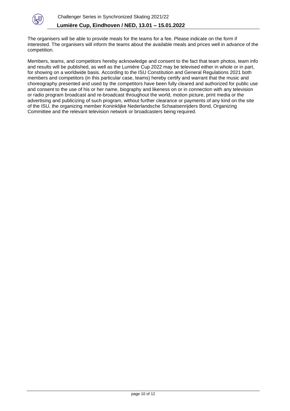

The organisers will be able to provide meals for the teams for a fee. Please indicate on the form if interested. The organisers will inform the teams about the available meals and prices well in advance of the competition.

Members, teams, and competitors hereby acknowledge and consent to the fact that team photos, team info and results will be published, as well as the Lumière Cup 2022 may be televised either in whole or in part, for showing on a worldwide basis. According to the ISU Constitution and General Regulations 2021 both members and competitors (in this particular case, teams) hereby certify and warrant that the music and choreography presented and used by the competitors have been fully cleared and authorized for public use and consent to the use of his or her name, biography and likeness on or in connection with any television or radio program broadcast and re-broadcast throughout the world, motion picture, print media or the advertising and publicizing of such program, without further clearance or payments of any kind on the site of the ISU, the organizing member Koninklijke Nederlandsche Schaatsenrijders Bond, Organizing Committee and the relevant television network or broadcasters being required.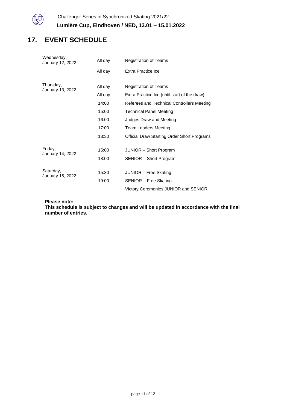

# **17. EVENT SCHEDULE**

| Wednesday,<br>January 12, 2022 | All day | <b>Registration of Teams</b>                       |  |
|--------------------------------|---------|----------------------------------------------------|--|
|                                | All day | Extra Practice Ice                                 |  |
| Thursday,                      | All day | <b>Registration of Teams</b>                       |  |
| January 13, 2022               | All day | Extra Practice Ice (until start of the draw)       |  |
|                                | 14:00   | Referees and Technical Controllers Meeting         |  |
|                                | 15:00   | <b>Technical Panel Meeting</b>                     |  |
|                                | 16:00   | Judges Draw and Meeting                            |  |
|                                | 17:00   | <b>Team Leaders Meeting</b>                        |  |
|                                | 18:30   | <b>Official Draw Starting Order Short Programs</b> |  |
| Friday,                        | 15:00   | JUNIOR - Short Program                             |  |
| January 14, 2022               | 18:00   | SENIOR - Short Program                             |  |
| Saturday,                      | 15:30   | JUNIOR - Free Skating                              |  |
| January 15, 2022               | 19:00   | SENIOR - Free Skating                              |  |
|                                |         | Victory Ceremonies JUNIOR and SENIOR               |  |

#### **Please note:**

**This schedule is subject to changes and will be updated in accordance with the final number of entries.**